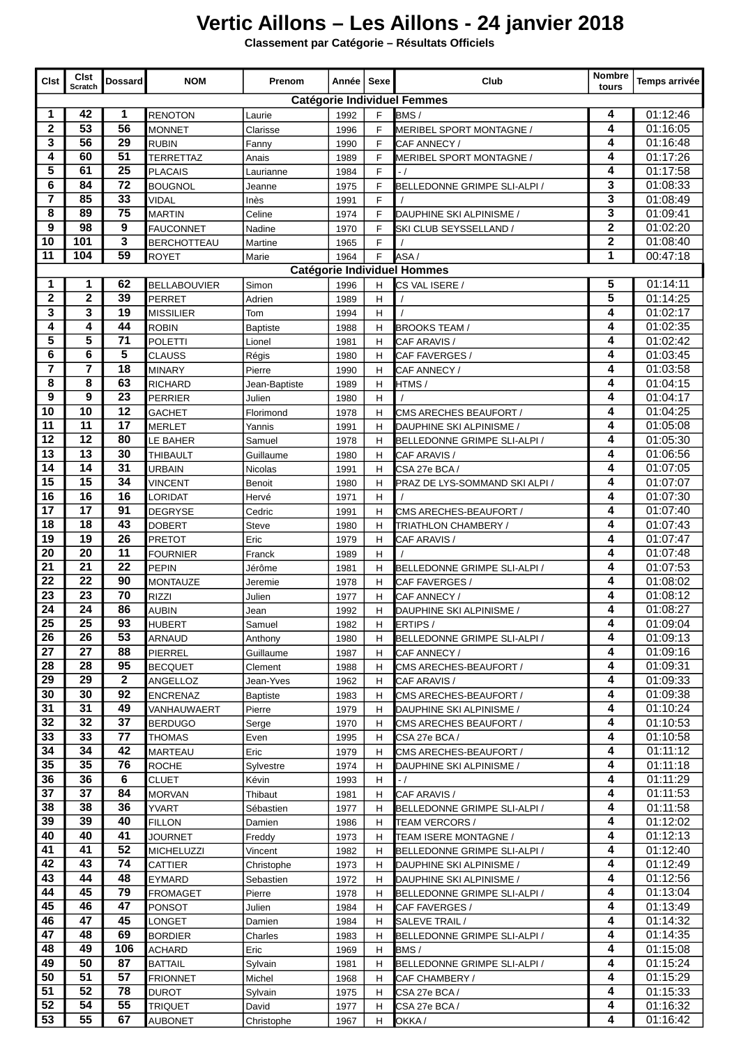## **Vertic Aillons – Les Aillons - 24 janvier 2018**

**Classement par Catégorie – Résultats Officiels**

| <b>Clst</b>                                                                                  | <b>Cist</b><br>Scratch             | <b>Dossard</b>  | <b>NOM</b>         | Prenom        | Année   Sexe |   | Club                           | Nombre  <br>tours | Temps arrivée |  |  |
|----------------------------------------------------------------------------------------------|------------------------------------|-----------------|--------------------|---------------|--------------|---|--------------------------------|-------------------|---------------|--|--|
|                                                                                              | <b>Catégorie Individuel Femmes</b> |                 |                    |               |              |   |                                |                   |               |  |  |
| 1                                                                                            | 42                                 | 1               | <b>RENOTON</b>     | Laurie        | 1992         | F | BMS/                           | 4                 | 01:12:46      |  |  |
| 2                                                                                            | $\overline{53}$                    | 56              | <b>MONNET</b>      | Clarisse      | 1996         | F | MERIBEL SPORT MONTAGNE /       | 4                 | 01:16:05      |  |  |
| 3                                                                                            | 56                                 | 29              | <b>RUBIN</b>       | Fanny         | 1990         | F | CAF ANNECY /                   | 4                 | 01:16:48      |  |  |
| 4                                                                                            | 60                                 | 51              | <b>TERRETTAZ</b>   | Anais         | 1989         | F | MERIBEL SPORT MONTAGNE /       | 4                 | 01:17:26      |  |  |
| 5                                                                                            | 61                                 | 25              | <b>PLACAIS</b>     | Laurianne     | 1984         | F | $-1$                           | 4                 | 01:17:58      |  |  |
| 6                                                                                            | 84                                 | $\overline{72}$ | <b>BOUGNOL</b>     | Jeanne        | 1975         | F | BELLEDONNE GRIMPE SLI-ALPI /   | 3                 | 01:08:33      |  |  |
| $\overline{7}$                                                                               | 85                                 | 33              | <b>VIDAL</b>       | Inès          | 1991         | F |                                | 3                 | 01:08:49      |  |  |
| 8                                                                                            | 89                                 | $\overline{75}$ | <b>MARTIN</b>      | Celine        | 1974         | F | DAUPHINE SKI ALPINISME /       | 3                 | 01:09:41      |  |  |
| 9                                                                                            | 98                                 | 9               | <b>FAUCONNET</b>   | Nadine        | 1970         | F | SKI CLUB SEYSSELLAND /         | $\mathbf 2$       | 01:02:20      |  |  |
| 10                                                                                           | 101                                | 3               | <b>BERCHOTTEAU</b> | Martine       | 1965         | F |                                | $\mathbf 2$       | 01:08:40      |  |  |
| 11                                                                                           | 104                                | 59              | <b>ROYET</b>       | Marie         | 1964         | F | ASA/                           | 1                 | 00:47:18      |  |  |
| <b>Catégorie Individuel Hommes</b>                                                           |                                    |                 |                    |               |              |   |                                |                   |               |  |  |
| 5<br>1<br>62<br>1<br>01:14:11<br>CS VAL ISERE /<br><b>BELLABOUVIER</b><br>Simon<br>1996<br>н |                                    |                 |                    |               |              |   |                                |                   |               |  |  |
| $\mathbf 2$                                                                                  | $\overline{2}$                     | 39              | <b>PERRET</b>      | Adrien        | 1989         | н |                                | 5                 | 01:14:25      |  |  |
| 3                                                                                            | 3                                  | 19              | <b>MISSILIER</b>   | Tom           | 1994         | Н |                                | 4                 | 01:02:17      |  |  |
| 4                                                                                            | 4                                  | 44              | <b>ROBIN</b>       | Baptiste      | 1988         | н | <b>BROOKS TEAM/</b>            | 4                 | 01:02:35      |  |  |
| 5                                                                                            | 5                                  | 71              | <b>POLETTI</b>     | Lionel        | 1981         | н | CAF ARAVIS /                   | 4                 | 01:02:42      |  |  |
| 6                                                                                            | 6                                  | 5               | <b>CLAUSS</b>      | Régis         | 1980         | Н | CAF FAVERGES /                 | 4                 | 01:03:45      |  |  |
| 7                                                                                            | 7                                  | $\overline{18}$ | <b>MINARY</b>      | Pierre        | 1990         | н | CAF ANNECY /                   | 4                 | 01:03:58      |  |  |
| 8                                                                                            | 8                                  | 63              | <b>RICHARD</b>     | Jean-Baptiste | 1989         | Η | HTMS /                         | 4                 | 01:04:15      |  |  |
| 9                                                                                            | 9                                  | $\overline{23}$ | <b>PERRIER</b>     | Julien        | 1980         | н |                                | 4                 | 01:04:17      |  |  |
| 10                                                                                           | 10                                 | 12              | GACHET             | Florimond     | 1978         | н | CMS ARECHES BEAUFORT /         | 4                 | 01:04:25      |  |  |
| 11                                                                                           | 11                                 | 17              | <b>MERLET</b>      | Yannis        | 1991         | Н | DAUPHINE SKI ALPINISME /       | 4                 | 01:05:08      |  |  |
| 12                                                                                           | $\overline{12}$                    | 80              | LE BAHER           | Samuel        | 1978         | Н | BELLEDONNE GRIMPE SLI-ALPI /   | 4                 | 01:05:30      |  |  |
| 13                                                                                           | $\overline{13}$                    | 30              | <b>THIBAULT</b>    | Guillaume     | 1980         | H | CAF ARAVIS /                   | 4                 | 01:06:56      |  |  |
| 14                                                                                           | 14                                 | 31              | URBAIN             | Nicolas       | 1991         | н | CSA 27e BCA /                  | 4                 | 01:07:05      |  |  |
| 15                                                                                           | 15                                 | 34              | VINCENT            | <b>Benoit</b> | 1980         | н | PRAZ DE LYS-SOMMAND SKI ALPI / | 4                 | 01:07:07      |  |  |
| 16                                                                                           | 16                                 | 16              | LORIDAT            | Hervé         | 1971         | н |                                | 4                 | 01:07:30      |  |  |
| 17                                                                                           | 17                                 | 91              | DEGRYSE            | Cedric        | 1991         | н | CMS ARECHES-BEAUFORT /         | 4                 | 01:07:40      |  |  |
| 18                                                                                           | 18                                 | 43              | <b>DOBERT</b>      | <b>Steve</b>  | 1980         | H | TRIATHLON CHAMBERY /           | 4                 | 01:07:43      |  |  |
| 19                                                                                           | 19                                 | 26              | <b>PRETOT</b>      | Eric          | 1979         | н | CAF ARAVIS /                   | 4                 | 01:07:47      |  |  |
| 20                                                                                           | 20                                 | 11              | <b>FOURNIER</b>    | Franck        | 1989         | н |                                | 4                 | 01:07:48      |  |  |
| 21                                                                                           | $\overline{21}$                    | 22              | <b>PEPIN</b>       | Jérôme        | 1981         | Н | BELLEDONNE GRIMPE SLI-ALPI /   | 4                 | 01:07:53      |  |  |
| 22                                                                                           | 22                                 | 90              | <b>MONTAUZE</b>    | Jeremie       | 1978         | н | CAF FAVERGES /                 | 4                 | 01:08:02      |  |  |
| $\overline{23}$                                                                              | $\overline{23}$                    | $\overline{70}$ | <b>RIZZI</b>       | Julien        | 1977         | Н | CAF ANNECY /                   | 4                 | 01:08:12      |  |  |
| 24                                                                                           | 24                                 | 86              | <b>AUBIN</b>       | Jean          | 1992         | н | DAUPHINE SKI ALPINISME /       | 4                 | 01:08:27      |  |  |
| $\overline{25}$                                                                              | $\overline{25}$                    | $\overline{93}$ | <b>HUBERT</b>      | Samuel        | 1982         | H | ERTIPS /                       | 4                 | 01:09:04      |  |  |
| 26                                                                                           | 26                                 | 53              | ARNAUD             | Anthony       | 1980         | H | BELLEDONNE GRIMPE SLI-ALPI /   | 4                 | 01:09:13      |  |  |
| 27                                                                                           | 27                                 | 88              | <b>PIERREL</b>     | Guillaume     | 1987         | н | CAF ANNECY /                   | 4                 | 01:09:16      |  |  |
| 28                                                                                           | 28                                 | 95              | <b>BECQUET</b>     | Clement       | 1988         | н | CMS ARECHES-BEAUFORT /         | 4                 | 01:09:31      |  |  |
| 29                                                                                           | 29                                 | $\mathbf{2}$    | ANGELLOZ           | Jean-Yves     | 1962         | н | CAF ARAVIS /                   | 4                 | 01:09:33      |  |  |
| 30                                                                                           | 30                                 | 92              | <b>ENCRENAZ</b>    | Baptiste      | 1983         | н | CMS ARECHES-BEAUFORT /         | 4                 | 01:09:38      |  |  |
| 31                                                                                           | $\overline{31}$                    | 49              | VANHAUWAERT        | Pierre        | 1979         | H | DAUPHINE SKI ALPINISME /       | 4                 | 01:10:24      |  |  |
| 32                                                                                           | 32                                 | 37              | <b>BERDUGO</b>     | Serge         | 1970         | н | CMS ARECHES BEAUFORT /         | 4                 | 01:10:53      |  |  |
| 33                                                                                           | 33                                 | 77              | <b>THOMAS</b>      | Even          | 1995         | н | CSA 27e BCA /                  | 4                 | 01:10:58      |  |  |
| 34                                                                                           | 34                                 | 42              | <b>MARTEAU</b>     | Eric          | 1979         | н | CMS ARECHES-BEAUFORT /         | 4                 | 01:11:12      |  |  |
| 35                                                                                           | 35                                 | 76              | <b>ROCHE</b>       | Sylvestre     | 1974         | н | DAUPHINE SKI ALPINISME /       | 4                 | 01:11:18      |  |  |
| 36                                                                                           | 36                                 | 6               | <b>CLUET</b>       | Kévin         | 1993         | H | $-1$                           | 4                 | 01:11:29      |  |  |
| 37                                                                                           | 37                                 | 84              | <b>MORVAN</b>      | Thibaut       | 1981         | н | CAF ARAVIS /                   | 4                 | 01:11:53      |  |  |
| 38                                                                                           | 38                                 | 36              | <b>YVART</b>       | Sébastien     | 1977         | н | BELLEDONNE GRIMPE SLI-ALPI /   | 4                 | 01:11:58      |  |  |
| 39                                                                                           | 39                                 | 40              | FILLON             | Damien        | 1986         | H | TEAM VERCORS /                 | 4                 | 01:12:02      |  |  |
| 40                                                                                           | 40                                 | 41              | <b>JOURNET</b>     | Freddy        | 1973         | н | TEAM ISERE MONTAGNE /          | 4                 | 01:12:13      |  |  |
| 41                                                                                           | 41                                 | 52              | <b>MICHELUZZI</b>  | Vincent       | 1982         | н | BELLEDONNE GRIMPE SLI-ALPI /   | 4                 | 01:12:40      |  |  |
| 42                                                                                           | 43                                 | 74              | CATTIER            | Christophe    | 1973         | н | DAUPHINE SKI ALPINISME /       | 4                 | 01:12:49      |  |  |
| 43                                                                                           | 44                                 | 48              | EYMARD             | Sebastien     | 1972         | н | DAUPHINE SKI ALPINISME /       | 4                 | 01:12:56      |  |  |
| 44                                                                                           | 45                                 | 79              | <b>FROMAGET</b>    | Pierre        | 1978         | н | BELLEDONNE GRIMPE SLI-ALPI /   | 4                 | 01:13:04      |  |  |
| 45                                                                                           | 46                                 | 47              | <b>PONSOT</b>      | Julien        | 1984         | н | CAF FAVERGES /                 | 4                 | 01:13:49      |  |  |
| 46                                                                                           | 47                                 | 45              | LONGET             | Damien        | 1984         | H | SALEVE TRAIL /                 | 4                 | 01:14:32      |  |  |
| 47                                                                                           | 48                                 | 69              | <b>BORDIER</b>     | Charles       | 1983         | н | BELLEDONNE GRIMPE SLI-ALPI /   | 4                 | 01:14:35      |  |  |
| 48                                                                                           | 49                                 | 106             | ACHARD             | Eric          | 1969         | н | BMS/                           | 4                 | 01:15:08      |  |  |
| 49                                                                                           | 50                                 | 87              | <b>BATTAIL</b>     | Sylvain       | 1981         | н | BELLEDONNE GRIMPE SLI-ALPI /   | 4                 | 01:15:24      |  |  |
| 50                                                                                           | 51                                 | 57              | <b>FRIONNET</b>    | Michel        | 1968         | н | CAF CHAMBERY /                 | 4                 | 01:15:29      |  |  |
| 51                                                                                           | 52                                 | 78              | <b>DUROT</b>       | Sylvain       | 1975         | н | CSA 27e BCA /                  | 4                 | 01:15:33      |  |  |
| 52                                                                                           | 54                                 | 55              | <b>TRIQUET</b>     | David         | 1977         | н | CSA 27e BCA /                  | 4                 | 01:16:32      |  |  |
| 53                                                                                           | 55                                 | 67              | <b>AUBONET</b>     | Christophe    | 1967         | H | OKKA/                          | 4                 | 01:16:42      |  |  |